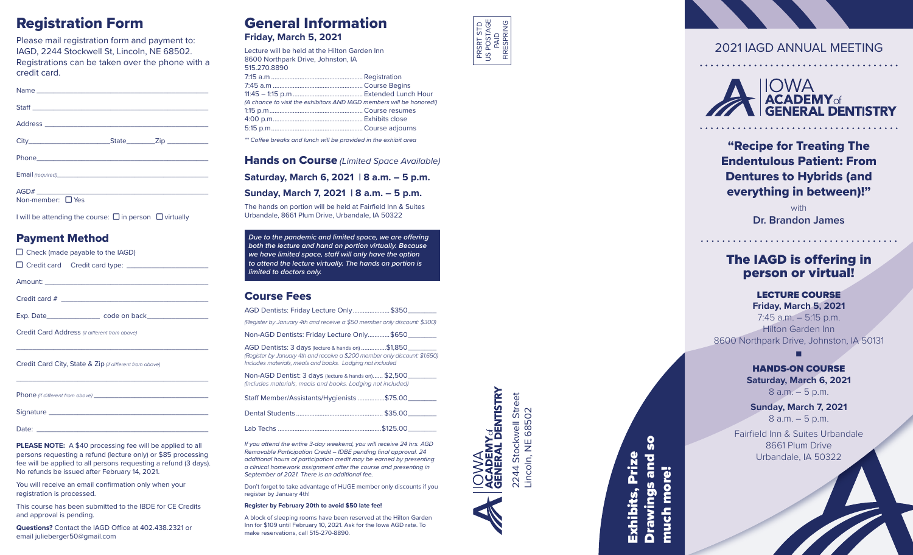## Registration Form

Please mail registration form and payment to: IAGD, 2244 Stockwell St, Lincoln, NE 68502. Registrations can be taken over the phone with a credit card.

| AGD#<br>$\mathbf{r}$ , and the contract of the contract of the contract of the contract of the contract of the contract of the contract of the contract of the contract of the contract of the contract of the contract of the contract o |  |
|-------------------------------------------------------------------------------------------------------------------------------------------------------------------------------------------------------------------------------------------|--|

Non-member: □ Yes

I will be attending the course:  $\Box$  in person  $\Box$  virtually

#### Payment Method

| $\Box$ Check (made payable to the IAGD)                                                                                           |
|-----------------------------------------------------------------------------------------------------------------------------------|
|                                                                                                                                   |
|                                                                                                                                   |
|                                                                                                                                   |
|                                                                                                                                   |
| Credit Card Address (if different from above)<br>,我们也不会有什么。""我们的人,我们也不会有什么?""我们的人,我们也不会有什么?""我们的人,我们也不会有什么?""我们的人,我们也不会有什么?""我们的人 |
| Credit Card City, State & Zip (if different from above)                                                                           |
|                                                                                                                                   |

Signature

Date: \_\_\_\_\_\_\_\_\_\_\_\_\_\_\_\_\_\_\_\_\_\_\_\_\_\_\_\_\_\_\_\_\_\_\_\_\_\_\_\_\_\_

**PLEASE NOTE:** A \$40 processing fee will be applied to all persons requesting a refund (lecture only) or \$85 processing fee will be applied to all persons requesting a refund (3 days). No refunds be issued after February 14, 2021.

You will receive an email confirmation only when your registration is processed.

This course has been submitted to the IBDE for CE Credits and approval is pending.

**Questions?** Contact the IAGD Office at 402.438.2321 or email julieberger50@gmail.com

# General Information

**Friday, March 5, 2021**

| Lecture will be held at the Hilton Garden Inn                        |  |
|----------------------------------------------------------------------|--|
| 8600 Northpark Drive, Johnston, IA                                   |  |
| 515.270.8890                                                         |  |
|                                                                      |  |
|                                                                      |  |
|                                                                      |  |
| (A chance to visit the exhibitors AND IAGD members will be honored!) |  |
|                                                                      |  |
|                                                                      |  |
|                                                                      |  |
| ** Coffee breaks and lunch will be provided in the exhibit area      |  |

Hands on Course *(Limited Space Available)*

**Saturday, March 6, 2021 | 8 a.m. – 5 p.m.**

**Sunday, March 7, 2021 | 8 a.m. – 5 p.m.** 

The hands on portion will be held at Fairfield Inn & Suites Urbandale, 8661 Plum Drive, Urbandale, IA 50322

*Due to the pandemic and limited space, we are offering both the lecture and hand on portion virtually. Because we have limited space, staff will only have the option to attend the lecture virtually. The hands on portion is limited to doctors only.* 

#### Course Fees

| AGD Dentists: Friday Lecture Only \$350_                                                                                                                                                      |  |  |
|-----------------------------------------------------------------------------------------------------------------------------------------------------------------------------------------------|--|--|
| (Register by January 4th and receive a \$50 member only discount: \$300)                                                                                                                      |  |  |
| Non-AGD Dentists: Friday Lecture Only\$650________                                                                                                                                            |  |  |
| AGD Dentists: 3 days (lecture & hands on) \$1,850<br>(Register by January 4th and receive a \$200 member only discount: \$1,650)<br>Includes materials, meals and books. Lodging not included |  |  |
| Non-AGD Dentist: 3 days (lecture & hands on) \$2,500<br>(Includes materials, meals and books. Lodging not included)                                                                           |  |  |
| Staff Member/Assistants/Hygienists \$75.00                                                                                                                                                    |  |  |
|                                                                                                                                                                                               |  |  |
| \$125.00                                                                                                                                                                                      |  |  |

*If you attend the entire 3-day weekend, you will receive 24 hrs. AGD Removable Participation Credit – IDBE pending final approval. 24 additional hours of participation credit may be earned by presenting a clinical homework assignment after the course and presenting in September of 2021. There is an additional fee.*

Don't forget to take advantage of HUGE member only discounts if you register by January 4th!

#### **Register by February 20th to avoid \$50 late fee!**

A block of sleeping rooms have been reserved at the Hilton Garden Inn for \$109 until February 10, 2021. Ask for the Iowa AGD rate. To make reservations, call 515-270-8890.



## 2021 IAGD ANNUAL MEETING



"Recipe for Treating The Endentulous Patient: From Dentures to Hybrids (and everything in between)!"

> with **Dr. Brandon James**

## The IAGD is offering in person or virtual!

#### LECTURE COURSE

**Friday, March 5, 2021** 7:45 a.m. – 5:15 p.m. Hilton Garden Inn 8600 Northpark Drive, Johnston, IA 50131

■

HANDS-ON COURSE **Saturday, March 6, 2021** 8 a.m. – 5 p.m.

**Sunday, March 7, 2021** 8 a.m. – 5 p.m.

Fairfield Inn & Suites Urbandale 8661 Plum Drive Urbandale, IA 50322

)VVA<br>C**ADEMY<sub>of</sub><br>ENERAL DENTISTRY** 2244 Stockwell Street<br>Lincoln, NE 68502 2244 Stockwell Street Lincoln, NE 68502

Drawings and so  $\boldsymbol{S}$ Prize Exhibits, Prize and much more! much more! **Drawings** Exhibits,